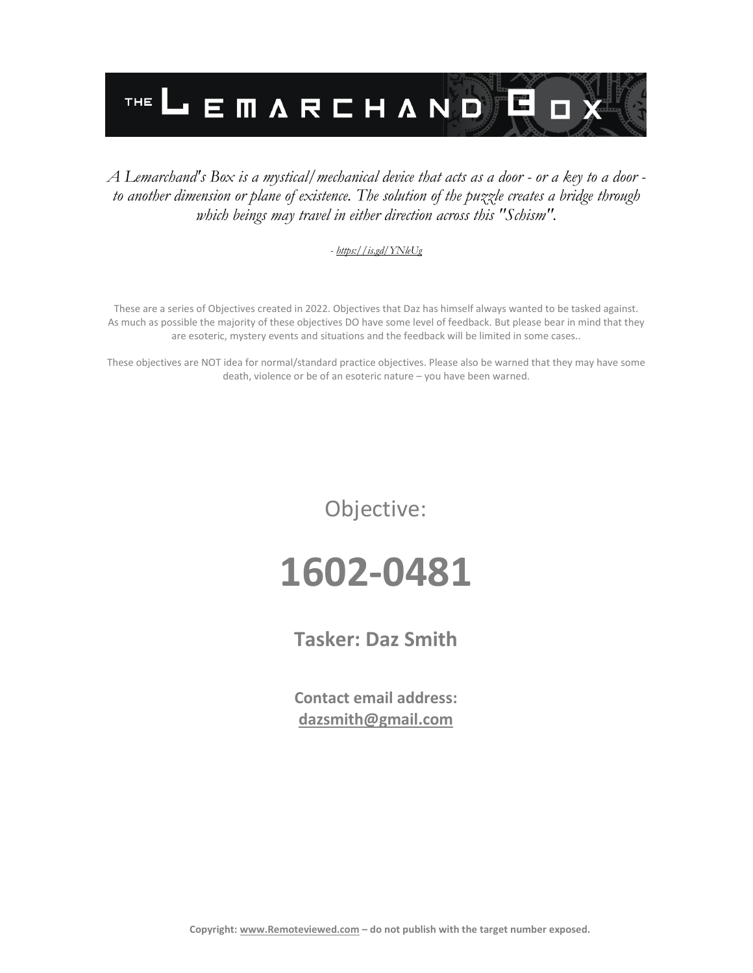

#### *A Lemarchand's Box is a mystical/mechanical device that acts as a door - or a key to a door to another dimension or plane of existence. The solution of the puzzle creates a bridge through which beings may travel in either direction across this "Schism".*

#### *- <https://is.gd/YNleUg>*

These are a series of Objectives created in 2022. Objectives that Daz has himself always wanted to be tasked against. As much as possible the majority of these objectives DO have some level of feedback. But please bear in mind that they are esoteric, mystery events and situations and the feedback will be limited in some cases..

These objectives are NOT idea for normal/standard practice objectives. Please also be warned that they may have some death, violence or be of an esoteric nature – you have been warned.

Objective:

# **1602-0481**

**Tasker: Daz Smith**

**Contact email address: [dazsmith@gmail.com](mailto:dazsmith@gmail.com)**